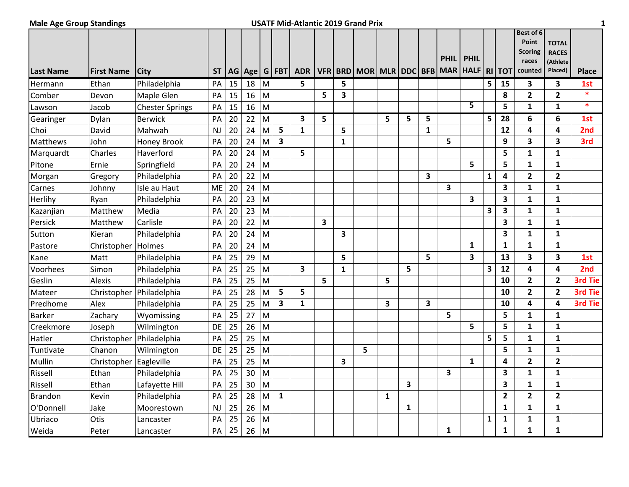## **Male Age Group Standings USATF Mid-Atlantic 2019 Grand Prix 1**

| <b>Last Name</b> | <b>First Name</b> | <b>City</b>            | <b>ST</b> |    | AG   Age |           | $G$ FBT                 | <b>ADR</b>   |                         |                         | VFR   BRD   MOR   MLR   DDC   BFB |              |                         |              | <b>PHIL</b><br><b>MAR</b> | <b>PHIL</b><br><b>HALF</b> |              | <b>RI TOT</b> | Best of 6<br>Point<br><b>Scoring</b><br>races<br>counted | <b>TOTAL</b><br><b>RACES</b><br>(Athlete<br>Placed) | <b>Place</b> |
|------------------|-------------------|------------------------|-----------|----|----------|-----------|-------------------------|--------------|-------------------------|-------------------------|-----------------------------------|--------------|-------------------------|--------------|---------------------------|----------------------------|--------------|---------------|----------------------------------------------------------|-----------------------------------------------------|--------------|
| Hermann          | Ethan             | Philadelphia           | PA        | 15 | 18       | ${\sf M}$ |                         | 5            |                         | 5                       |                                   |              |                         |              |                           |                            | 5            | 15            | 3                                                        | $\overline{\mathbf{3}}$                             | 1st          |
| Comber           | Devon             | Maple Glen             | PA        | 15 | 16       | M         |                         |              | 5                       | 3                       |                                   |              |                         |              |                           |                            |              | 8             | $\overline{2}$                                           | $\overline{2}$                                      | $\ast$       |
| Lawson           | Jacob             | <b>Chester Springs</b> | PA        | 15 | 16       | M         |                         |              |                         |                         |                                   |              |                         |              |                           | 5                          |              | 5             | $\mathbf{1}$                                             | $\mathbf{1}$                                        | $\ast$       |
| Gearinger        | Dylan             | Berwick                | PA        | 20 | 22       | M         |                         | 3            | 5                       |                         |                                   | 5            | 5                       | 5            |                           |                            | 5            | 28            | 6                                                        | 6                                                   | 1st          |
| Choi             | David             | Mahwah                 | <b>NJ</b> | 20 | 24       | M         | 5                       | $\mathbf{1}$ |                         | 5                       |                                   |              |                         | $\mathbf{1}$ |                           |                            |              | 12            | 4                                                        | 4                                                   | 2nd          |
| Matthews         | John              | <b>Honey Brook</b>     | PA        | 20 | 24       | M         | $\overline{\mathbf{3}}$ |              |                         | $\mathbf{1}$            |                                   |              |                         |              | 5                         |                            |              | 9             | 3                                                        | 3                                                   | 3rd          |
| Marquardt        | Charles           | Haverford              | PA        | 20 | 24       | M         |                         | 5            |                         |                         |                                   |              |                         |              |                           |                            |              | 5             | $\mathbf{1}$                                             | $\mathbf{1}$                                        |              |
| Pitone           | Ernie             | Springfield            | PA        | 20 | 24       | M         |                         |              |                         |                         |                                   |              |                         |              |                           | 5                          |              | 5             | $\mathbf{1}$                                             | $\mathbf{1}$                                        |              |
| Morgan           | Gregory           | Philadelphia           | PA        | 20 | 22       | M         |                         |              |                         |                         |                                   |              |                         | 3            |                           |                            | $\mathbf{1}$ | 4             | $\overline{2}$                                           | $\overline{2}$                                      |              |
| Carnes           | Johnny            | Isle au Haut           | ME        | 20 | 24       | M         |                         |              |                         |                         |                                   |              |                         |              | 3                         |                            |              | 3             | $\mathbf{1}$                                             | $\mathbf{1}$                                        |              |
| Herlihy          | Ryan              | Philadelphia           | PA        | 20 | 23       | M         |                         |              |                         |                         |                                   |              |                         |              |                           | 3                          |              | 3             | 1                                                        | $\mathbf{1}$                                        |              |
| Kazanjian        | Matthew           | Media                  | PA        | 20 | 23       | M         |                         |              |                         |                         |                                   |              |                         |              |                           |                            | 3            | 3             | $\mathbf{1}$                                             | $\mathbf{1}$                                        |              |
| Persick          | Matthew           | Carlisle               | PA        | 20 | 22       | M         |                         |              | $\overline{\mathbf{3}}$ |                         |                                   |              |                         |              |                           |                            |              | 3             | $\mathbf{1}$                                             | $\mathbf{1}$                                        |              |
| Sutton           | Kieran            | Philadelphia           | PA        | 20 | 24       | M         |                         |              |                         | $\overline{\mathbf{3}}$ |                                   |              |                         |              |                           |                            |              | 3             | $\mathbf{1}$                                             | $\mathbf{1}$                                        |              |
| Pastore          | Christopher       | Holmes                 | PA        | 20 | 24       | M         |                         |              |                         |                         |                                   |              |                         |              |                           | $\mathbf{1}$               |              | $\mathbf{1}$  | $\mathbf{1}$                                             | $\mathbf{1}$                                        |              |
| Kane             | Matt              | Philadelphia           | PA        | 25 | 29       | M         |                         |              |                         | 5                       |                                   |              |                         | 5            |                           | 3                          |              | 13            | 3                                                        | 3                                                   | 1st          |
| Voorhees         | Simon             | Philadelphia           | PA        | 25 | 25       | M         |                         | 3            |                         | $\mathbf{1}$            |                                   |              | 5                       |              |                           |                            | 3            | 12            | 4                                                        | 4                                                   | 2nd          |
| Geslin           | Alexis            | Philadelphia           | PA        | 25 | 25       | M         |                         |              | 5                       |                         |                                   | 5            |                         |              |                           |                            |              | 10            | $\mathbf{2}$                                             | $\overline{2}$                                      | 3rd Tie      |
| Mateer           | Christopher       | Philadelphia           | PA        | 25 | 28       | M         | 5                       | 5            |                         |                         |                                   |              |                         |              |                           |                            |              | 10            | $\overline{\mathbf{2}}$                                  | $\mathbf{2}$                                        | 3rd Tie      |
| Predhome         | Alex              | Philadelphia           | PA        | 25 | 25       | M         | 3                       | 1            |                         |                         |                                   | 3            |                         | 3            |                           |                            |              | 10            | 4                                                        | 4                                                   | 3rd Tie      |
| <b>Barker</b>    | Zachary           | Wyomissing             | PA        | 25 | 27       | M         |                         |              |                         |                         |                                   |              |                         |              | 5                         |                            |              | 5             | $\mathbf{1}$                                             | $\mathbf{1}$                                        |              |
| Creekmore        | Joseph            | Wilmington             | DE        | 25 | 26       | M         |                         |              |                         |                         |                                   |              |                         |              |                           | 5                          |              | 5             | $\mathbf{1}$                                             | $\mathbf{1}$                                        |              |
| Hatler           | Christopher       | Philadelphia           | PA        | 25 | 25       | M         |                         |              |                         |                         |                                   |              |                         |              |                           |                            | 5            | 5             | 1                                                        | $\mathbf{1}$                                        |              |
| Tuntivate        | Chanon            | Wilmington             | DE.       | 25 | 25       | M         |                         |              |                         |                         | 5                                 |              |                         |              |                           |                            |              | 5             | $\mathbf{1}$                                             | $\mathbf{1}$                                        |              |
| Mullin           | Christopher       | Eagleville             | PA        | 25 | 25       | M         |                         |              |                         | $\overline{\mathbf{3}}$ |                                   |              |                         |              |                           | $\mathbf{1}$               |              | 4             | $\overline{2}$                                           | $\overline{2}$                                      |              |
| Rissell          | Ethan             | Philadelphia           | PA        | 25 | 30       | M         |                         |              |                         |                         |                                   |              |                         |              | 3                         |                            |              | 3             | 1                                                        | $\mathbf{1}$                                        |              |
| Rissell          | Ethan             | Lafayette Hill         | PA        | 25 | 30       | M         |                         |              |                         |                         |                                   |              | $\overline{\mathbf{3}}$ |              |                           |                            |              | 3             | $\mathbf{1}$                                             | $\mathbf{1}$                                        |              |
| <b>Brandon</b>   | Kevin             | Philadelphia           | PA        | 25 | 28       | M         | $\mathbf{1}$            |              |                         |                         |                                   | $\mathbf{1}$ |                         |              |                           |                            |              | $\mathbf{2}$  | $\overline{2}$                                           | $\overline{2}$                                      |              |
| O'Donnell        | Jake              | Moorestown             | <b>NJ</b> | 25 | 26       | M         |                         |              |                         |                         |                                   |              | $\mathbf{1}$            |              |                           |                            |              | 1             | 1                                                        | $\mathbf{1}$                                        |              |
| Ubriaco          | Otis              | Lancaster              | PA        | 25 | 26       | M         |                         |              |                         |                         |                                   |              |                         |              |                           |                            | 1            | $\mathbf{1}$  | 1                                                        | $\mathbf{1}$                                        |              |
| Weida            | Peter             | Lancaster              | PA        | 25 | 26       | M         |                         |              |                         |                         |                                   |              |                         |              | 1                         |                            |              | $\mathbf{1}$  | $\mathbf{1}$                                             | 1                                                   |              |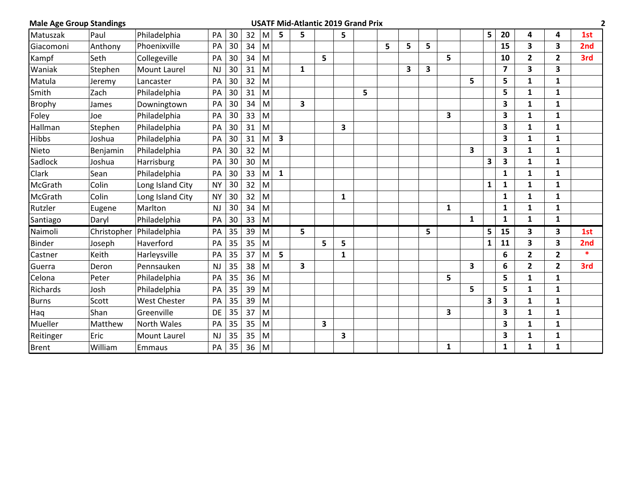| <b>Male Age Group Standings</b> |          |                          |           |    |    |     |              | <b>USATF Mid-Atlantic 2019 Grand Prix</b> |   |              |   |   |   |   |   |              |   |                         |                |                |                 |
|---------------------------------|----------|--------------------------|-----------|----|----|-----|--------------|-------------------------------------------|---|--------------|---|---|---|---|---|--------------|---|-------------------------|----------------|----------------|-----------------|
| Matuszak                        | Paul     | Philadelphia             | PA        | 30 | 32 | M   | 5            | 5                                         |   | 5            |   |   |   |   |   |              | 5 | 20                      | 4              | 4              | 1st             |
| Giacomoni                       | Anthony  | Phoenixville             | PA        | 30 | 34 | M   |              |                                           |   |              |   | 5 | 5 | 5 |   |              |   | 15                      | 3              | 3              | 2 <sub>nd</sub> |
| Kampf                           | Seth     | Collegeville             | PA        | 30 | 34 | M   |              |                                           | 5 |              |   |   |   |   | 5 |              |   | 10                      | 2              | $\mathbf{2}$   | 3rd             |
| Waniak                          | Stephen  | <b>Mount Laurel</b>      | NJ        | 30 | 31 | M   |              | 1                                         |   |              |   |   | 3 | 3 |   |              |   | $\overline{\mathbf{z}}$ | 3              | 3              |                 |
| Matula                          | Jeremy   | Lancaster                | PA        | 30 | 32 | M   |              |                                           |   |              |   |   |   |   |   | 5            |   | 5                       | 1              | 1              |                 |
| Smith                           | Zach     | Philadelphia             | PA        | 30 | 31 | M   |              |                                           |   |              | 5 |   |   |   |   |              |   | 5                       | $\mathbf{1}$   | 1              |                 |
| Brophy                          | James    | Downingtown              | PA        | 30 | 34 | M   |              | 3                                         |   |              |   |   |   |   |   |              |   | 3                       | 1              | $\mathbf{1}$   |                 |
| Foley                           | Joe      | Philadelphia             | PA        | 30 | 33 | M   |              |                                           |   |              |   |   |   |   | 3 |              |   | 3                       | 1              | $\mathbf{1}$   |                 |
| Hallman                         | Stephen  | Philadelphia             | PA        | 30 | 31 | M   |              |                                           |   | 3            |   |   |   |   |   |              |   | 3                       | $\mathbf{1}$   | $\mathbf{1}$   |                 |
| Hibbs                           | Joshua   | Philadelphia             | PA        | 30 | 31 | M   | 3            |                                           |   |              |   |   |   |   |   |              |   | 3                       | 1              | $\mathbf{1}$   |                 |
| Nieto                           | Benjamin | Philadelphia             | PA        | 30 | 32 | M   |              |                                           |   |              |   |   |   |   |   | 3            |   | 3                       | 1              | 1              |                 |
| Sadlock                         | Joshua   | Harrisburg               | PA        | 30 | 30 | M   |              |                                           |   |              |   |   |   |   |   |              | 3 | 3                       | $\mathbf{1}$   | $\mathbf{1}$   |                 |
| <b>Clark</b>                    | Sean     | Philadelphia             | PA        | 30 | 33 | M   | $\mathbf{1}$ |                                           |   |              |   |   |   |   |   |              |   | 1                       | 1              | 1              |                 |
| McGrath                         | Colin    | Long Island City         | <b>NY</b> | 30 | 32 | M   |              |                                           |   |              |   |   |   |   |   |              | 1 | 1                       | 1              | $\mathbf{1}$   |                 |
| McGrath                         | Colin    | Long Island City         | <b>NY</b> | 30 | 32 | M   |              |                                           |   | 1            |   |   |   |   |   |              |   | $\mathbf{1}$            | 1              | $\mathbf{1}$   |                 |
| Rutzler                         | Eugene   | Marlton                  | NJ        | 30 | 34 | M   |              |                                           |   |              |   |   |   |   | 1 |              |   | 1                       | $\mathbf{1}$   | $\mathbf{1}$   |                 |
| Santiago                        | Daryl    | Philadelphia             | PA        | 30 | 33 | l M |              |                                           |   |              |   |   |   |   |   | $\mathbf{1}$ |   | $\mathbf{1}$            | $\mathbf{1}$   | $\mathbf{1}$   |                 |
| Naimoli                         |          | Christopher Philadelphia | PA        | 35 | 39 | M   |              | 5                                         |   |              |   |   |   | 5 |   |              | 5 | 15                      | 3              | 3              | 1st             |
| <b>Binder</b>                   | Joseph   | Haverford                | PA        | 35 | 35 | M   |              |                                           | 5 | 5            |   |   |   |   |   |              | 1 | 11                      | 3              | 3              | 2nd             |
| Castner                         | Keith    | Harleysville             | PA        | 35 | 37 | M   | 5            |                                           |   | $\mathbf{1}$ |   |   |   |   |   |              |   | 6                       | $\overline{2}$ | $\overline{2}$ | $\ast$          |
| Guerra                          | Deron    | Pennsauken               | NJ        | 35 | 38 | M   |              | 3                                         |   |              |   |   |   |   |   | 3            |   | 6                       | $\overline{2}$ | $\overline{2}$ | 3rd             |
| Celona                          | Peter    | Philadelphia             | PA        | 35 | 36 | M   |              |                                           |   |              |   |   |   |   | 5 |              |   | 5                       | $\mathbf{1}$   | $\mathbf{1}$   |                 |
| Richards                        | Josh     | Philadelphia             | PA        | 35 | 39 | M   |              |                                           |   |              |   |   |   |   |   | 5            |   | 5                       | 1              | $\mathbf{1}$   |                 |
| <b>Burns</b>                    | Scott    | <b>West Chester</b>      | PA        | 35 | 39 | M   |              |                                           |   |              |   |   |   |   |   |              | 3 | 3                       | 1              | $\mathbf{1}$   |                 |
| Haq                             | Shan     | Greenville               | DE        | 35 | 37 | M   |              |                                           |   |              |   |   |   |   | 3 |              |   | 3                       | 1              | 1              |                 |
| Mueller                         | Matthew  | North Wales              | PA        | 35 | 35 | M   |              |                                           | 3 |              |   |   |   |   |   |              |   | 3                       | $\mathbf{1}$   | $\mathbf{1}$   |                 |
| Reitinger                       | Eric     | <b>Mount Laurel</b>      | NJ        | 35 | 35 | M   |              |                                           |   | 3            |   |   |   |   |   |              |   | 3                       | 1              | 1              |                 |
| <b>Brent</b>                    | William  | Emmaus                   | PA        | 35 | 36 | M   |              |                                           |   |              |   |   |   |   | 1 |              |   | 1                       | $\mathbf{1}$   | $\mathbf{1}$   |                 |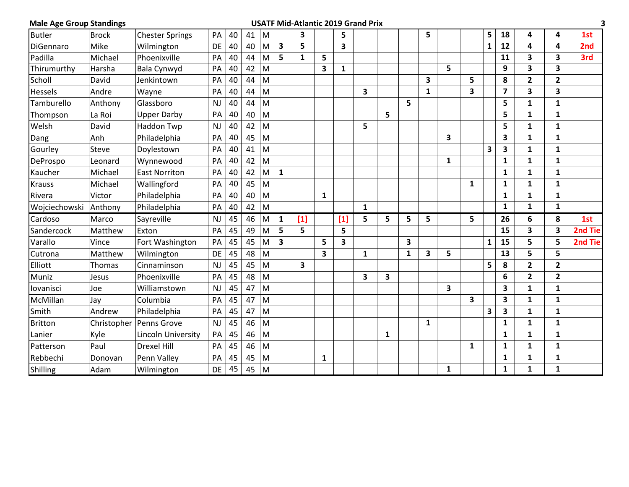| <b>Male Age Group Standings</b> |              |                        |           |    |    |           |              | <b>USATF Mid-Atlantic 2019 Grand Prix</b> |              |                         |              |   |   |              |              |              |              |              |                         |              |         |
|---------------------------------|--------------|------------------------|-----------|----|----|-----------|--------------|-------------------------------------------|--------------|-------------------------|--------------|---|---|--------------|--------------|--------------|--------------|--------------|-------------------------|--------------|---------|
| <b>Butler</b>                   | <b>Brock</b> | <b>Chester Springs</b> | PA        | 40 | 41 | M         |              | 3                                         |              | 5                       |              |   |   | 5            |              |              | 5            | 18           | 4                       | 4            | 1st     |
| DiGennaro                       | Mike         | Wilmington             | DE        | 40 | 40 | M         | $\mathbf{3}$ | 5                                         |              | 3                       |              |   |   |              |              |              | $\mathbf 1$  | 12           | 4                       | 4            | 2nd     |
| Padilla                         | Michael      | Phoenixville           | PA        | 40 | 44 | M         | 5            | $\mathbf{1}$                              | 5            |                         |              |   |   |              |              |              |              | 11           | 3                       | 3            | 3rd     |
| Thirumurthy                     | Harsha       | <b>Bala Cynwyd</b>     | PA        | 40 | 42 | M         |              |                                           | 3            | $\mathbf{1}$            |              |   |   |              | 5            |              |              | 9            | 3                       | 3            |         |
| Scholl                          | David        | Jenkintown             | PA        | 40 | 44 | M         |              |                                           |              |                         |              |   |   | 3            |              | 5            |              | 8            | $\overline{2}$          | $\mathbf{2}$ |         |
| Hessels                         | Andre        | Wayne                  | PA        | 40 | 44 | M         |              |                                           |              |                         | 3            |   |   | $\mathbf{1}$ |              | 3            |              | 7            | 3                       | $\mathbf{3}$ |         |
| Tamburello                      | Anthony      | Glassboro              | NJ        | 40 | 44 | M         |              |                                           |              |                         |              |   | 5 |              |              |              |              | 5            | 1                       | 1            |         |
| Thompson                        | La Roi       | <b>Upper Darby</b>     | PA        | 40 | 40 | M         |              |                                           |              |                         |              | 5 |   |              |              |              |              | 5            | 1                       | 1            |         |
| Welsh                           | David        | Haddon Twp             | NJ        | 40 | 42 | M         |              |                                           |              |                         | 5            |   |   |              |              |              |              | 5            | $\mathbf{1}$            | $\mathbf{1}$ |         |
| Dang                            | Anh          | Philadelphia           | PA        | 40 | 45 | M         |              |                                           |              |                         |              |   |   |              | 3            |              |              | 3            | $\mathbf{1}$            | $\mathbf{1}$ |         |
| Gourley                         | Steve        | Doylestown             | PA        | 40 | 41 | M         |              |                                           |              |                         |              |   |   |              |              |              | 3            | 3            | 1                       | 1            |         |
| DeProspo                        | Leonard      | Wynnewood              | PA        | 40 | 42 | M         |              |                                           |              |                         |              |   |   |              | $\mathbf{1}$ |              |              | 1            | 1                       | 1            |         |
| Kaucher                         | Michael      | <b>East Norriton</b>   | PA        | 40 | 42 | M         | $\mathbf{1}$ |                                           |              |                         |              |   |   |              |              |              |              | 1            | 1                       | 1            |         |
| <b>Krauss</b>                   | Michael      | Wallingford            | PA        | 40 | 45 | M         |              |                                           |              |                         |              |   |   |              |              | 1            |              | 1            | 1                       | 1            |         |
| Rivera                          | Victor       | Philadelphia           | PA        | 40 | 40 | M         |              |                                           | $\mathbf{1}$ |                         |              |   |   |              |              |              |              | 1            | $\mathbf{1}$            | $\mathbf{1}$ |         |
| Wojciechowski                   | Anthony      | Philadelphia           | PA        | 40 | 42 | M         |              |                                           |              |                         | $\mathbf{1}$ |   |   |              |              |              |              | $\mathbf{1}$ | $\mathbf{1}$            | 1            |         |
| Cardoso                         | Marco        | Sayreville             | <b>NJ</b> | 45 | 46 | M         | $\mathbf{1}$ | $[1]$                                     |              | $[1]$                   | 5            | 5 | 5 | 5            |              | 5            |              | 26           | 6                       | 8            | 1st     |
| Sandercock                      | Matthew      | Exton                  | PA        | 45 | 49 | M         | 5            | 5                                         |              | 5                       |              |   |   |              |              |              |              | 15           | 3                       | 3            | 2nd Tie |
| Varallo                         | Vince        | Fort Washington        | PA        | 45 | 45 | M         | 3            |                                           | 5            | $\overline{\mathbf{3}}$ |              |   | 3 |              |              |              | $\mathbf{1}$ | 15           | 5                       | 5            | 2nd Tie |
| Cutrona                         | Matthew      | Wilmington             | DE        | 45 | 48 | M         |              |                                           | 3            |                         | $\mathbf{1}$ |   | 1 | 3            | 5            |              |              | 13           | 5                       | 5            |         |
| Elliott                         | Thomas       | Cinnaminson            | NJ        | 45 | 45 | ${\sf M}$ |              | 3                                         |              |                         |              |   |   |              |              |              | 5            | 8            | $\overline{\mathbf{c}}$ | $\mathbf{2}$ |         |
| Muniz                           | Jesus        | Phoenixville           | PA        | 45 | 48 | M         |              |                                           |              |                         | 3            | 3 |   |              |              |              |              | 6            | $\overline{2}$          | $\mathbf{2}$ |         |
| lovanisci                       | Joe          | Williamstown           | NJ        | 45 | 47 | M         |              |                                           |              |                         |              |   |   |              | 3            |              |              | 3            | 1                       | 1            |         |
| McMillan                        | Jay          | Columbia               | PA        | 45 | 47 | M         |              |                                           |              |                         |              |   |   |              |              | 3            |              | 3            | $\mathbf{1}$            | $\mathbf{1}$ |         |
| Smith                           | Andrew       | Philadelphia           | PA        | 45 | 47 | M         |              |                                           |              |                         |              |   |   |              |              |              | 3            | 3            | $\mathbf{1}$            | 1            |         |
| <b>Britton</b>                  | Christopher  | Penns Grove            | NJ        | 45 | 46 | M         |              |                                           |              |                         |              |   |   | $\mathbf{1}$ |              |              |              | $\mathbf{1}$ | $\mathbf{1}$            | 1            |         |
| Lanier                          | Kyle         | Lincoln University     | PA        | 45 | 46 | M         |              |                                           |              |                         |              | 1 |   |              |              |              |              | 1            | 1                       | $\mathbf{1}$ |         |
| Patterson                       | Paul         | <b>Drexel Hill</b>     | PA        | 45 | 46 | M         |              |                                           |              |                         |              |   |   |              |              | $\mathbf{1}$ |              | 1            | $\mathbf{1}$            | $\mathbf{1}$ |         |
| Rebbechi                        | Donovan      | Penn Valley            | PA        | 45 | 45 | M         |              |                                           | 1            |                         |              |   |   |              |              |              |              | 1            | 1                       | $\mathbf{1}$ |         |
| Shilling                        | Adam         | Wilmington             | DE        | 45 | 45 | M         |              |                                           |              |                         |              |   |   |              | $\mathbf{1}$ |              |              | $\mathbf{1}$ | $\mathbf{1}$            | $\mathbf{1}$ |         |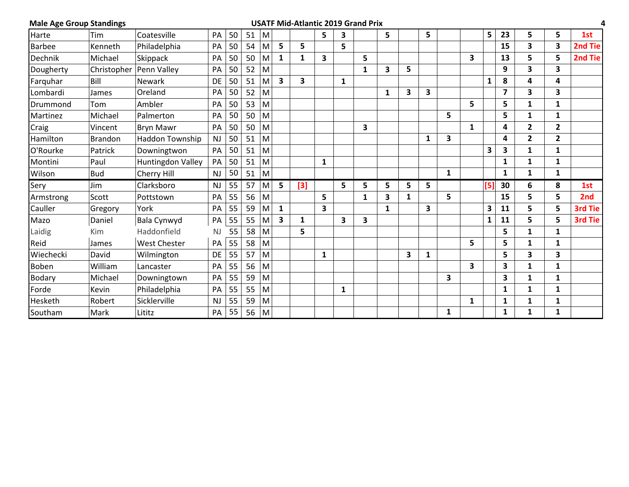| <b>Male Age Group Standings</b> |                |                           |           |    |    |   |                         | <b>USATF Mid-Atlantic 2019 Grand Prix</b> |              |              |   |   |              |              |   |              |     |              |                         |                | 4       |
|---------------------------------|----------------|---------------------------|-----------|----|----|---|-------------------------|-------------------------------------------|--------------|--------------|---|---|--------------|--------------|---|--------------|-----|--------------|-------------------------|----------------|---------|
| Harte                           | Tim            | Coatesville               | PA        | 50 | 51 | M |                         |                                           | 5            | 3            |   | 5 |              | 5            |   |              | 5   | 23           | 5                       | 5              | 1st     |
| <b>Barbee</b>                   | Kenneth        | Philadelphia              | PA        | 50 | 54 | M | 5                       | 5                                         |              | 5            |   |   |              |              |   |              |     | 15           | 3                       | 3              | 2nd Tie |
| Dechnik                         | Michael        | Skippack                  | PA        | 50 | 50 | M | $\mathbf{1}$            | 1                                         | 3            |              | 5 |   |              |              |   | 3            |     | 13           | 5                       | 5              | 2nd Tie |
| Dougherty                       |                | Christopher   Penn Valley | PA        | 50 | 52 | M |                         |                                           |              |              | 1 | 3 | 5            |              |   |              |     | 9            | 3                       | 3              |         |
| Farguhar                        | Bill           | <b>Newark</b>             | DE        | 50 | 51 | M | $\overline{\mathbf{3}}$ | 3                                         |              | $\mathbf{1}$ |   |   |              |              |   |              | 1   | 8            | 4                       | 4              |         |
| Lombardi                        | James          | Oreland                   | PA        | 50 | 52 | M |                         |                                           |              |              |   | 1 | 3            | 3            |   |              |     | 7            | 3                       | 3              |         |
| Drummond                        | Tom            | Ambler                    | PA        | 50 | 53 | M |                         |                                           |              |              |   |   |              |              |   | 5            |     | 5            | 1                       | $\mathbf{1}$   |         |
| Martinez                        | Michael        | Palmerton                 | PA        | 50 | 50 | M |                         |                                           |              |              |   |   |              |              | 5 |              |     | 5            | 1                       | 1              |         |
| Craig                           | Vincent        | <b>Bryn Mawr</b>          | PA        | 50 | 50 | M |                         |                                           |              |              | 3 |   |              |              |   | $\mathbf{1}$ |     | 4            | $\overline{\mathbf{c}}$ | $\overline{2}$ |         |
| Hamilton                        | <b>Brandon</b> | <b>Haddon Township</b>    | NJ        | 50 | 51 | M |                         |                                           |              |              |   |   |              | $\mathbf{1}$ | 3 |              |     | 4            | $\overline{\mathbf{c}}$ | $\overline{2}$ |         |
| O'Rourke                        | Patrick        | Downingtwon               | PA        | 50 | 51 | M |                         |                                           |              |              |   |   |              |              |   |              | 3   | 3            | $\mathbf{1}$            | $\mathbf{1}$   |         |
| Montini                         | Paul           | Huntingdon Valley         | PA        | 50 | 51 | M |                         |                                           | $\mathbf{1}$ |              |   |   |              |              |   |              |     | $\mathbf 1$  | 1                       | 1              |         |
| Wilson                          | <b>Bud</b>     | Cherry Hill               | NJ        | 50 | 51 | M |                         |                                           |              |              |   |   |              |              | 1 |              |     | $\mathbf{1}$ | $\mathbf{1}$            | $\mathbf{1}$   |         |
| Sery                            | Jim            | Clarksboro                | NJ        | 55 | 57 | M | 5                       | $[3]$                                     |              | 5            | 5 | 5 | 5            | 5            |   |              | [5] | 30           | 6                       | 8              | 1st     |
| Armstrong                       | Scott          | Pottstown                 | PA        | 55 | 56 | M |                         |                                           | 5            |              | 1 | 3 | $\mathbf{1}$ |              | 5 |              |     | 15           | 5                       | 5              | 2nd     |
| Cauller                         | Gregory        | York                      | PA        | 55 | 59 | M | $\mathbf{1}$            |                                           | 3            |              |   | 1 |              | 3            |   |              | 3   | 11           | 5                       | 5              | 3rd Tie |
| Mazo                            | Daniel         | Bala Cynwyd               | PA        | 55 | 55 | M | 3                       | 1                                         |              | 3            | 3 |   |              |              |   |              | 1   | 11           | 5                       | 5              | 3rd Tie |
| Laidig                          | Kim            | Haddonfield               | <b>NJ</b> | 55 | 58 | M |                         | 5                                         |              |              |   |   |              |              |   |              |     | 5.           | 1                       | 1              |         |
| Reid                            | James          | <b>West Chester</b>       | PA        | 55 | 58 | M |                         |                                           |              |              |   |   |              |              |   | 5            |     | 5            | 1                       | $\mathbf{1}$   |         |
| Wiechecki                       | David          | Wilmington                | DE        | 55 | 57 | M |                         |                                           | 1            |              |   |   | 3            | $\mathbf{1}$ |   |              |     | 5            | 3                       | 3              |         |
| Boben                           | William        | Lancaster                 | PA        | 55 | 56 | M |                         |                                           |              |              |   |   |              |              |   | 3            |     | 3            | 1                       | 1              |         |
| <b>Bodary</b>                   | Michael        | Downingtown               | PA        | 55 | 59 | M |                         |                                           |              |              |   |   |              |              | 3 |              |     | 3            | 1                       | $\mathbf{1}$   |         |
| Forde                           | Kevin          | Philadelphia              | PA        | 55 | 55 | M |                         |                                           |              | 1            |   |   |              |              |   |              |     | 1            | 1                       | $\mathbf{1}$   |         |
| Hesketh                         | Robert         | Sicklerville              | NJ        | 55 | 59 | M |                         |                                           |              |              |   |   |              |              |   | $\mathbf{1}$ |     | 1            | 1                       | $\mathbf{1}$   |         |
| Southam                         | Mark           | Lititz                    | PA        | 55 | 56 | M |                         |                                           |              |              |   |   |              |              | 1 |              |     | 1            | 1                       | 1              |         |